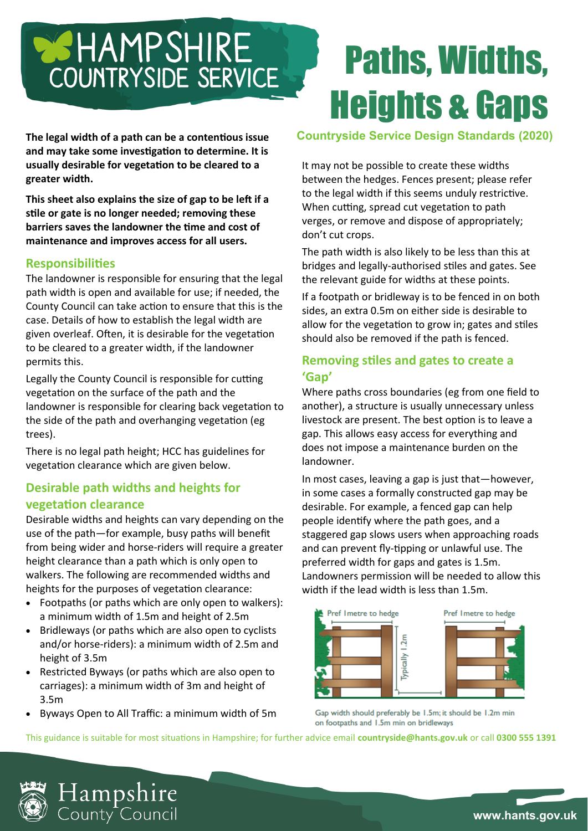# **BEHAMPSHIRE** COUNTRYSIDE SERVICE

**The legal width of a path can be a contentious issue and may take some investigation to determine. It is usually desirable for vegetation to be cleared to a greater width.**

**This sheet also explains the size of gap to be left if a stile or gate is no longer needed; removing these barriers saves the landowner the time and cost of maintenance and improves access for all users.** 

#### **Responsibilities**

The landowner is responsible for ensuring that the legal path width is open and available for use; if needed, the County Council can take action to ensure that this is the case. Details of how to establish the legal width are given overleaf. Often, it is desirable for the vegetation to be cleared to a greater width, if the landowner permits this.

Legally the County Council is responsible for cutting vegetation on the surface of the path and the landowner is responsible for clearing back vegetation to the side of the path and overhanging vegetation (eg trees).

There is no legal path height; HCC has guidelines for vegetation clearance which are given below.

#### **Desirable path widths and heights for vegetation clearance**

Desirable widths and heights can vary depending on the use of the path—for example, busy paths will benefit from being wider and horse-riders will require a greater height clearance than a path which is only open to walkers. The following are recommended widths and heights for the purposes of vegetation clearance:

- Footpaths (or paths which are only open to walkers): a minimum width of 1.5m and height of 2.5m
- Bridleways (or paths which are also open to cyclists and/or horse-riders): a minimum width of 2.5m and height of 3.5m
- Restricted Byways (or paths which are also open to carriages): a minimum width of 3m and height of 3.5m
- Byways Open to All Traffic: a minimum width of 5m

# Paths, Widths, Heights & Gaps

#### **Countryside Service Design Standards (2020)**

It may not be possible to create these widths between the hedges. Fences present; please refer to the legal width if this seems unduly restrictive. When cutting, spread cut vegetation to path verges, or remove and dispose of appropriately; don't cut crops.

The path width is also likely to be less than this at bridges and legally-authorised stiles and gates. See the relevant guide for widths at these points.

If a footpath or bridleway is to be fenced in on both sides, an extra 0.5m on either side is desirable to allow for the vegetation to grow in; gates and stiles should also be removed if the path is fenced.

#### **Removing stiles and gates to create a 'Gap'**

Where paths cross boundaries (eg from one field to another), a structure is usually unnecessary unless livestock are present. The best option is to leave a gap. This allows easy access for everything and does not impose a maintenance burden on the landowner.

In most cases, leaving a gap is just that—however, in some cases a formally constructed gap may be desirable. For example, a fenced gap can help people identify where the path goes, and a staggered gap slows users when approaching roads and can prevent fly-tipping or unlawful use. The preferred width for gaps and gates is 1.5m. Landowners permission will be needed to allow this width if the lead width is less than 1.5m.



Gap width should preferably be 1.5m; it should be 1.2m min on footpaths and 1.5m min on bridleways

This guidance is suitable for most situations in Hampshire; for further advice email **countryside@hants.gov.uk** or call **0300 555 1391**